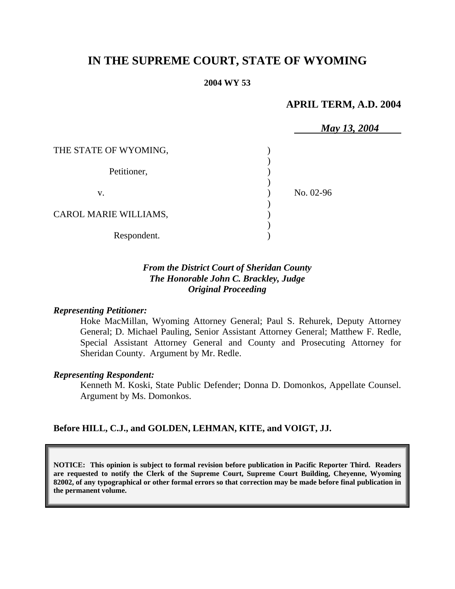# **IN THE SUPREME COURT, STATE OF WYOMING**

#### **2004 WY 53**

## **APRIL TERM, A.D. 2004**

|                       | May 13, 2004 |
|-----------------------|--------------|
| THE STATE OF WYOMING, |              |
|                       |              |
| Petitioner,           |              |
|                       |              |
| V.                    | No. 02-96    |
|                       |              |
| CAROL MARIE WILLIAMS, |              |
|                       |              |
| Respondent.           |              |

## *From the District Court of Sheridan County The Honorable John C. Brackley, Judge Original Proceeding*

#### *Representing Petitioner:*

Hoke MacMillan, Wyoming Attorney General; Paul S. Rehurek, Deputy Attorney General; D. Michael Pauling, Senior Assistant Attorney General; Matthew F. Redle, Special Assistant Attorney General and County and Prosecuting Attorney for Sheridan County. Argument by Mr. Redle.

#### *Representing Respondent:*

Kenneth M. Koski, State Public Defender; Donna D. Domonkos, Appellate Counsel. Argument by Ms. Domonkos.

#### **Before HILL, C.J., and GOLDEN, LEHMAN, KITE, and VOIGT, JJ.**

**NOTICE: This opinion is subject to formal revision before publication in Pacific Reporter Third. Readers are requested to notify the Clerk of the Supreme Court, Supreme Court Building, Cheyenne, Wyoming 82002, of any typographical or other formal errors so that correction may be made before final publication in the permanent volume.**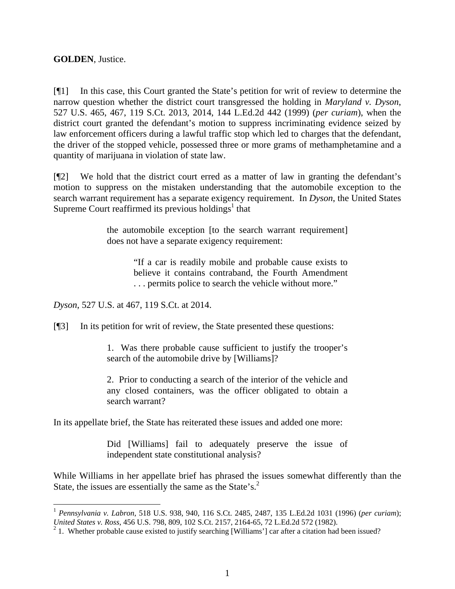**GOLDEN**, Justice.

[¶1] In this case, this Court granted the State's petition for writ of review to determine the narrow question whether the district court transgressed the holding in *Maryland v. Dyson*, 527 U.S. 465, 467, 119 S.Ct. 2013, 2014, 144 L.Ed.2d 442 (1999) (*per curiam*), when the district court granted the defendant's motion to suppress incriminating evidence seized by law enforcement officers during a lawful traffic stop which led to charges that the defendant, the driver of the stopped vehicle, possessed three or more grams of methamphetamine and a quantity of marijuana in violation of state law.

[¶2] We hold that the district court erred as a matter of law in granting the defendant's motion to suppress on the mistaken understanding that the automobile exception to the search warrant requirement has a separate exigency requirement. In *Dyson*, the United States Supreme Court reaffirmed its previous holdings<sup>1</sup> that

> the automobile exception [to the search warrant requirement] does not have a separate exigency requirement:

> > "If a car is readily mobile and probable cause exists to believe it contains contraband, the Fourth Amendment . . . permits police to search the vehicle without more."

*Dyson*, 527 U.S. at 467, 119 S.Ct. at 2014.

[¶3] In its petition for writ of review, the State presented these questions:

1. Was there probable cause sufficient to justify the trooper's search of the automobile drive by [Williams]?

2. Prior to conducting a search of the interior of the vehicle and any closed containers, was the officer obligated to obtain a search warrant?

In its appellate brief, the State has reiterated these issues and added one more:

Did [Williams] fail to adequately preserve the issue of independent state constitutional analysis?

While Williams in her appellate brief has phrased the issues somewhat differently than the State, the issues are essentially the same as the State's.<sup>2</sup>

<sup>1</sup> *Pennsylvania v. Labron*, 518 U.S. 938, 940, 116 S.Ct. 2485, 2487, 135 L.Ed.2d 1031 (1996) (*per curiam*); *United States v. Ross*, 456 U.S. 798, 809, 102 S.Ct. 2157, 2164-65, 72 L.Ed.2d 572 (1982).<br><sup>2</sup> 1. Whether probable cause existed to justify searching [Williams'] car after a citation had been issued?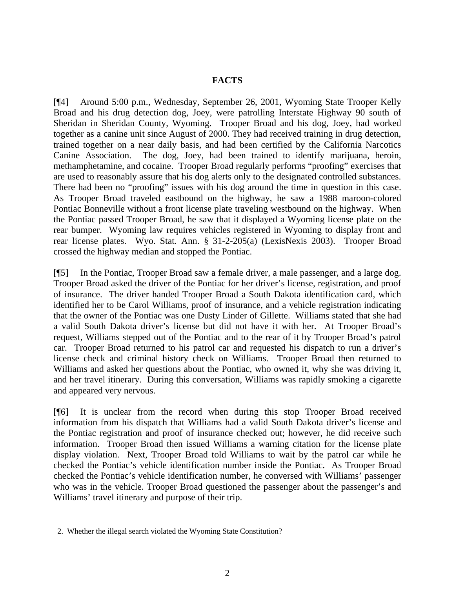## **FACTS**

[¶4] Around 5:00 p.m., Wednesday, September 26, 2001, Wyoming State Trooper Kelly Broad and his drug detection dog, Joey, were patrolling Interstate Highway 90 south of Sheridan in Sheridan County, Wyoming. Trooper Broad and his dog, Joey, had worked together as a canine unit since August of 2000. They had received training in drug detection, trained together on a near daily basis, and had been certified by the California Narcotics Canine Association. The dog, Joey, had been trained to identify marijuana, heroin, methamphetamine, and cocaine. Trooper Broad regularly performs "proofing" exercises that are used to reasonably assure that his dog alerts only to the designated controlled substances. There had been no "proofing" issues with his dog around the time in question in this case. As Trooper Broad traveled eastbound on the highway, he saw a 1988 maroon-colored Pontiac Bonneville without a front license plate traveling westbound on the highway. When the Pontiac passed Trooper Broad, he saw that it displayed a Wyoming license plate on the rear bumper. Wyoming law requires vehicles registered in Wyoming to display front and rear license plates. Wyo. Stat. Ann. § 31-2-205(a) (LexisNexis 2003). Trooper Broad crossed the highway median and stopped the Pontiac.

[¶5] In the Pontiac, Trooper Broad saw a female driver, a male passenger, and a large dog. Trooper Broad asked the driver of the Pontiac for her driver's license, registration, and proof of insurance. The driver handed Trooper Broad a South Dakota identification card, which identified her to be Carol Williams, proof of insurance, and a vehicle registration indicating that the owner of the Pontiac was one Dusty Linder of Gillette. Williams stated that she had a valid South Dakota driver's license but did not have it with her. At Trooper Broad's request, Williams stepped out of the Pontiac and to the rear of it by Trooper Broad's patrol car. Trooper Broad returned to his patrol car and requested his dispatch to run a driver's license check and criminal history check on Williams. Trooper Broad then returned to Williams and asked her questions about the Pontiac, who owned it, why she was driving it, and her travel itinerary. During this conversation, Williams was rapidly smoking a cigarette and appeared very nervous.

[¶6] It is unclear from the record when during this stop Trooper Broad received information from his dispatch that Williams had a valid South Dakota driver's license and the Pontiac registration and proof of insurance checked out; however, he did receive such information. Trooper Broad then issued Williams a warning citation for the license plate display violation. Next, Trooper Broad told Williams to wait by the patrol car while he checked the Pontiac's vehicle identification number inside the Pontiac. As Trooper Broad checked the Pontiac's vehicle identification number, he conversed with Williams' passenger who was in the vehicle. Trooper Broad questioned the passenger about the passenger's and Williams' travel itinerary and purpose of their trip.

 $\overline{a}$ 

 <sup>2.</sup> Whether the illegal search violated the Wyoming State Constitution?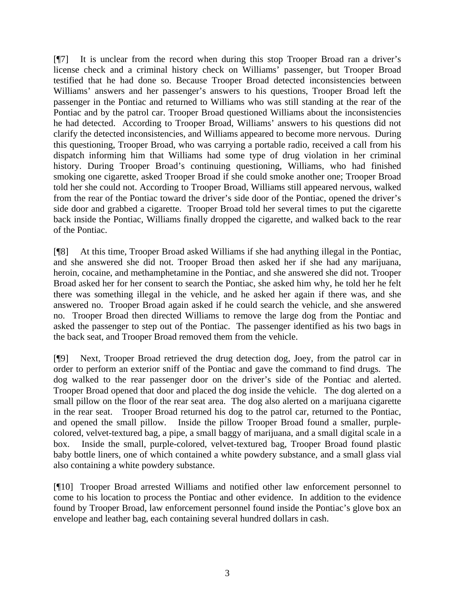[¶7] It is unclear from the record when during this stop Trooper Broad ran a driver's license check and a criminal history check on Williams' passenger, but Trooper Broad testified that he had done so. Because Trooper Broad detected inconsistencies between Williams' answers and her passenger's answers to his questions, Trooper Broad left the passenger in the Pontiac and returned to Williams who was still standing at the rear of the Pontiac and by the patrol car. Trooper Broad questioned Williams about the inconsistencies he had detected. According to Trooper Broad, Williams' answers to his questions did not clarify the detected inconsistencies, and Williams appeared to become more nervous. During this questioning, Trooper Broad, who was carrying a portable radio, received a call from his dispatch informing him that Williams had some type of drug violation in her criminal history. During Trooper Broad's continuing questioning, Williams, who had finished smoking one cigarette, asked Trooper Broad if she could smoke another one; Trooper Broad told her she could not. According to Trooper Broad, Williams still appeared nervous, walked from the rear of the Pontiac toward the driver's side door of the Pontiac, opened the driver's side door and grabbed a cigarette. Trooper Broad told her several times to put the cigarette back inside the Pontiac, Williams finally dropped the cigarette, and walked back to the rear of the Pontiac.

[¶8] At this time, Trooper Broad asked Williams if she had anything illegal in the Pontiac, and she answered she did not. Trooper Broad then asked her if she had any marijuana, heroin, cocaine, and methamphetamine in the Pontiac, and she answered she did not. Trooper Broad asked her for her consent to search the Pontiac, she asked him why, he told her he felt there was something illegal in the vehicle, and he asked her again if there was, and she answered no. Trooper Broad again asked if he could search the vehicle, and she answered no. Trooper Broad then directed Williams to remove the large dog from the Pontiac and asked the passenger to step out of the Pontiac. The passenger identified as his two bags in the back seat, and Trooper Broad removed them from the vehicle.

[¶9] Next, Trooper Broad retrieved the drug detection dog, Joey, from the patrol car in order to perform an exterior sniff of the Pontiac and gave the command to find drugs. The dog walked to the rear passenger door on the driver's side of the Pontiac and alerted. Trooper Broad opened that door and placed the dog inside the vehicle. The dog alerted on a small pillow on the floor of the rear seat area. The dog also alerted on a marijuana cigarette in the rear seat. Trooper Broad returned his dog to the patrol car, returned to the Pontiac, and opened the small pillow. Inside the pillow Trooper Broad found a smaller, purplecolored, velvet-textured bag, a pipe, a small baggy of marijuana, and a small digital scale in a box. Inside the small, purple-colored, velvet-textured bag, Trooper Broad found plastic baby bottle liners, one of which contained a white powdery substance, and a small glass vial also containing a white powdery substance.

[¶10] Trooper Broad arrested Williams and notified other law enforcement personnel to come to his location to process the Pontiac and other evidence. In addition to the evidence found by Trooper Broad, law enforcement personnel found inside the Pontiac's glove box an envelope and leather bag, each containing several hundred dollars in cash.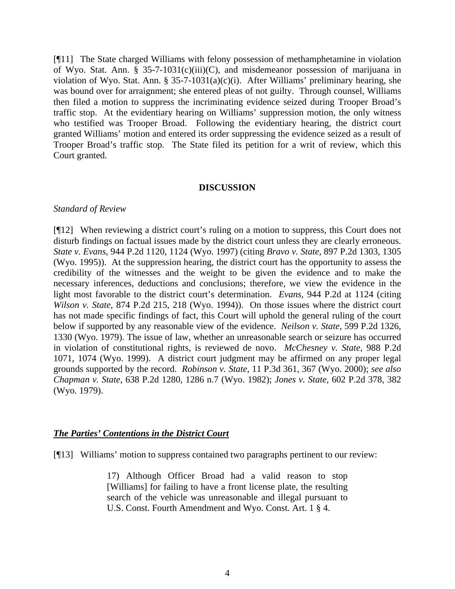[¶11] The State charged Williams with felony possession of methamphetamine in violation of Wyo. Stat. Ann. § 35-7-1031(c)(iii)(C), and misdemeanor possession of marijuana in violation of Wyo. Stat. Ann. § 35-7-1031(a)(c)(i). After Williams' preliminary hearing, she was bound over for arraignment; she entered pleas of not guilty. Through counsel, Williams then filed a motion to suppress the incriminating evidence seized during Trooper Broad's traffic stop. At the evidentiary hearing on Williams' suppression motion, the only witness who testified was Trooper Broad. Following the evidentiary hearing, the district court granted Williams' motion and entered its order suppressing the evidence seized as a result of Trooper Broad's traffic stop. The State filed its petition for a writ of review, which this Court granted.

#### **DISCUSSION**

### *Standard of Review*

[¶12] When reviewing a district court's ruling on a motion to suppress, this Court does not disturb findings on factual issues made by the district court unless they are clearly erroneous. *State v. Evans*, 944 P.2d 1120, 1124 (Wyo. 1997) (citing *Bravo v. State*, 897 P.2d 1303, 1305 (Wyo. 1995)). At the suppression hearing, the district court has the opportunity to assess the credibility of the witnesses and the weight to be given the evidence and to make the necessary inferences, deductions and conclusions; therefore, we view the evidence in the light most favorable to the district court's determination. *Evans*, 944 P.2d at 1124 (citing *Wilson v. State*, 874 P.2d 215, 218 (Wyo. 1994)). On those issues where the district court has not made specific findings of fact, this Court will uphold the general ruling of the court below if supported by any reasonable view of the evidence. *Neilson v. State*, 599 P.2d 1326, 1330 (Wyo. 1979). The issue of law, whether an unreasonable search or seizure has occurred in violation of constitutional rights, is reviewed de novo. *McChesney v. State*, 988 P.2d 1071, 1074 (Wyo. 1999). A district court judgment may be affirmed on any proper legal grounds supported by the record. *Robinson v. State*, 11 P.3d 361, 367 (Wyo. 2000); *see also Chapman v. State*, 638 P.2d 1280, 1286 n.7 (Wyo. 1982); *Jones v. State*, 602 P.2d 378, 382 (Wyo. 1979).

## *The Parties' Contentions in the District Court*

[¶13] Williams' motion to suppress contained two paragraphs pertinent to our review:

17) Although Officer Broad had a valid reason to stop [Williams] for failing to have a front license plate, the resulting search of the vehicle was unreasonable and illegal pursuant to U.S. Const. Fourth Amendment and Wyo. Const. Art. 1 § 4.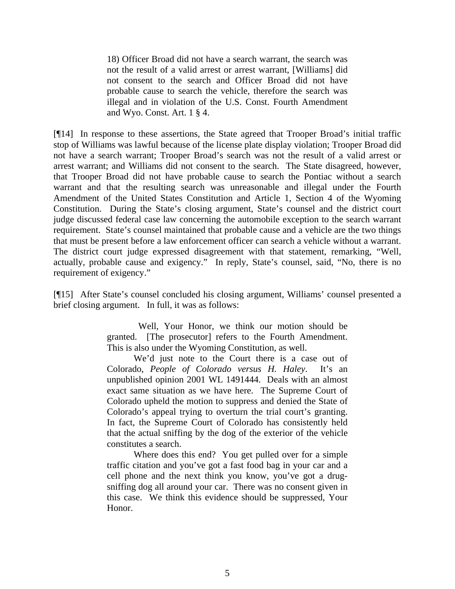18) Officer Broad did not have a search warrant, the search was not the result of a valid arrest or arrest warrant, [Williams] did not consent to the search and Officer Broad did not have probable cause to search the vehicle, therefore the search was illegal and in violation of the U.S. Const. Fourth Amendment and Wyo. Const. Art. 1 § 4.

[¶14] In response to these assertions, the State agreed that Trooper Broad's initial traffic stop of Williams was lawful because of the license plate display violation; Trooper Broad did not have a search warrant; Trooper Broad's search was not the result of a valid arrest or arrest warrant; and Williams did not consent to the search. The State disagreed, however, that Trooper Broad did not have probable cause to search the Pontiac without a search warrant and that the resulting search was unreasonable and illegal under the Fourth Amendment of the United States Constitution and Article 1, Section 4 of the Wyoming Constitution. During the State's closing argument, State's counsel and the district court judge discussed federal case law concerning the automobile exception to the search warrant requirement. State's counsel maintained that probable cause and a vehicle are the two things that must be present before a law enforcement officer can search a vehicle without a warrant. The district court judge expressed disagreement with that statement, remarking, "Well, actually, probable cause and exigency." In reply, State's counsel, said, "No, there is no requirement of exigency."

[¶15] After State's counsel concluded his closing argument, Williams' counsel presented a brief closing argument. In full, it was as follows:

> Well, Your Honor, we think our motion should be granted. [The prosecutor] refers to the Fourth Amendment. This is also under the Wyoming Constitution, as well.

> We'd just note to the Court there is a case out of Colorado, *People of Colorado versus H. Haley*. It's an unpublished opinion 2001 WL 1491444. Deals with an almost exact same situation as we have here. The Supreme Court of Colorado upheld the motion to suppress and denied the State of Colorado's appeal trying to overturn the trial court's granting. In fact, the Supreme Court of Colorado has consistently held that the actual sniffing by the dog of the exterior of the vehicle constitutes a search.

> Where does this end? You get pulled over for a simple traffic citation and you've got a fast food bag in your car and a cell phone and the next think you know, you've got a drugsniffing dog all around your car. There was no consent given in this case. We think this evidence should be suppressed, Your Honor.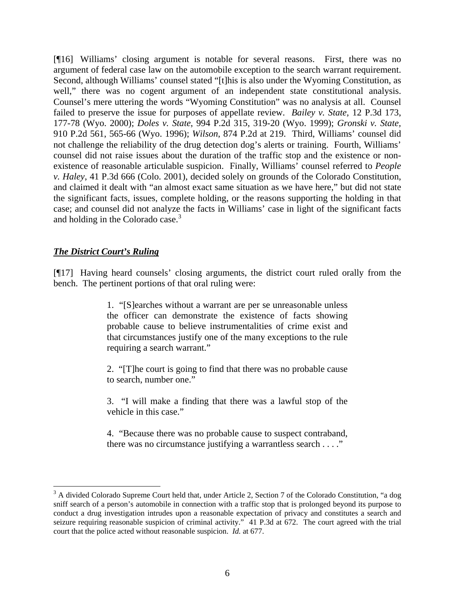[¶16] Williams' closing argument is notable for several reasons. First, there was no argument of federal case law on the automobile exception to the search warrant requirement. Second, although Williams' counsel stated "[t]his is also under the Wyoming Constitution, as well," there was no cogent argument of an independent state constitutional analysis. Counsel's mere uttering the words "Wyoming Constitution" was no analysis at all. Counsel failed to preserve the issue for purposes of appellate review. *Bailey v. State,* 12 P.3d 173, 177-78 (Wyo. 2000); *Doles v. State*, 994 P.2d 315, 319-20 (Wyo. 1999); *Gronski v. State,* 910 P.2d 561, 565-66 (Wyo. 1996); *Wilson*, 874 P.2d at 219. Third, Williams' counsel did not challenge the reliability of the drug detection dog's alerts or training. Fourth, Williams' counsel did not raise issues about the duration of the traffic stop and the existence or nonexistence of reasonable articulable suspicion. Finally, Williams' counsel referred to *People v. Haley*, 41 P.3d 666 (Colo. 2001), decided solely on grounds of the Colorado Constitution, and claimed it dealt with "an almost exact same situation as we have here," but did not state the significant facts, issues, complete holding, or the reasons supporting the holding in that case; and counsel did not analyze the facts in Williams' case in light of the significant facts and holding in the Colorado case.<sup>3</sup>

## *The District Court's Ruling*

l

[¶17] Having heard counsels' closing arguments, the district court ruled orally from the bench. The pertinent portions of that oral ruling were:

> 1. "[S]earches without a warrant are per se unreasonable unless the officer can demonstrate the existence of facts showing probable cause to believe instrumentalities of crime exist and that circumstances justify one of the many exceptions to the rule requiring a search warrant."

> 2. "[T]he court is going to find that there was no probable cause to search, number one."

> 3. "I will make a finding that there was a lawful stop of the vehicle in this case."

> 4. "Because there was no probable cause to suspect contraband, there was no circumstance justifying a warrantless search . . . ."

<sup>&</sup>lt;sup>3</sup> A divided Colorado Supreme Court held that, under Article 2, Section 7 of the Colorado Constitution, "a dog sniff search of a person's automobile in connection with a traffic stop that is prolonged beyond its purpose to conduct a drug investigation intrudes upon a reasonable expectation of privacy and constitutes a search and seizure requiring reasonable suspicion of criminal activity." 41 P.3d at 672. The court agreed with the trial court that the police acted without reasonable suspicion. *Id.* at 677.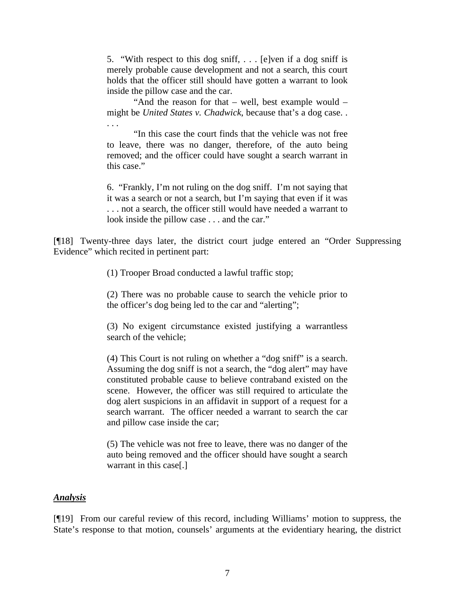5. "With respect to this dog sniff, . . . [e]ven if a dog sniff is merely probable cause development and not a search, this court holds that the officer still should have gotten a warrant to look inside the pillow case and the car.

"And the reason for that – well, best example would – might be *United States v. Chadwick*, because that's a dog case. . . . .

"In this case the court finds that the vehicle was not free to leave, there was no danger, therefore, of the auto being removed; and the officer could have sought a search warrant in this case."

6. "Frankly, I'm not ruling on the dog sniff. I'm not saying that it was a search or not a search, but I'm saying that even if it was . . . not a search, the officer still would have needed a warrant to look inside the pillow case . . . and the car."

[¶18] Twenty-three days later, the district court judge entered an "Order Suppressing Evidence" which recited in pertinent part:

(1) Trooper Broad conducted a lawful traffic stop;

(2) There was no probable cause to search the vehicle prior to the officer's dog being led to the car and "alerting";

(3) No exigent circumstance existed justifying a warrantless search of the vehicle;

(4) This Court is not ruling on whether a "dog sniff" is a search. Assuming the dog sniff is not a search, the "dog alert" may have constituted probable cause to believe contraband existed on the scene. However, the officer was still required to articulate the dog alert suspicions in an affidavit in support of a request for a search warrant. The officer needed a warrant to search the car and pillow case inside the car;

(5) The vehicle was not free to leave, there was no danger of the auto being removed and the officer should have sought a search warrant in this case[.]

## *Analysis*

[¶19] From our careful review of this record, including Williams' motion to suppress, the State's response to that motion, counsels' arguments at the evidentiary hearing, the district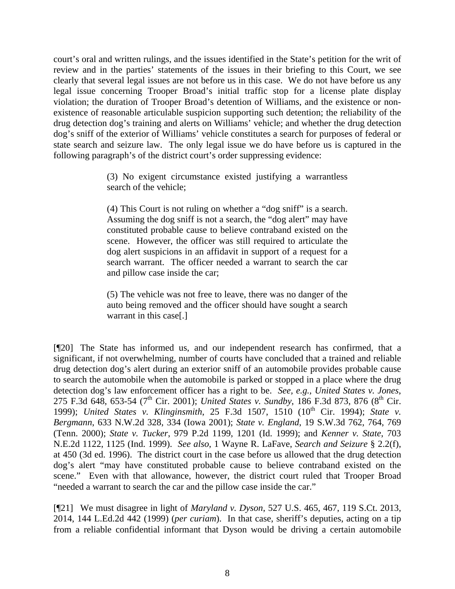court's oral and written rulings, and the issues identified in the State's petition for the writ of review and in the parties' statements of the issues in their briefing to this Court, we see clearly that several legal issues are not before us in this case. We do not have before us any legal issue concerning Trooper Broad's initial traffic stop for a license plate display violation; the duration of Trooper Broad's detention of Williams, and the existence or nonexistence of reasonable articulable suspicion supporting such detention; the reliability of the drug detection dog's training and alerts on Williams' vehicle; and whether the drug detection dog's sniff of the exterior of Williams' vehicle constitutes a search for purposes of federal or state search and seizure law. The only legal issue we do have before us is captured in the following paragraph's of the district court's order suppressing evidence:

> (3) No exigent circumstance existed justifying a warrantless search of the vehicle;

> (4) This Court is not ruling on whether a "dog sniff" is a search. Assuming the dog sniff is not a search, the "dog alert" may have constituted probable cause to believe contraband existed on the scene. However, the officer was still required to articulate the dog alert suspicions in an affidavit in support of a request for a search warrant. The officer needed a warrant to search the car and pillow case inside the car;

> (5) The vehicle was not free to leave, there was no danger of the auto being removed and the officer should have sought a search warrant in this case[.]

[¶20] The State has informed us, and our independent research has confirmed, that a significant, if not overwhelming, number of courts have concluded that a trained and reliable drug detection dog's alert during an exterior sniff of an automobile provides probable cause to search the automobile when the automobile is parked or stopped in a place where the drug detection dog's law enforcement officer has a right to be. *See, e.g., United States v. Jones*, 275 F.3d 648, 653-54 (7<sup>th</sup> Cir. 2001); *United States v. Sundby*, 186 F.3d 873, 876 (8<sup>th</sup> Cir. 1999); *United States v. Klinginsmith*, 25 F.3d 1507, 1510 (10<sup>th</sup> Cir. 1994); *State v. Bergmann*, 633 N.W.2d 328, 334 (Iowa 2001); *State v. England*, 19 S.W.3d 762, 764, 769 (Tenn. 2000); *State v. Tucker*, 979 P.2d 1199, 1201 (Id. 1999); and *Kenner v. State*, 703 N.E.2d 1122, 1125 (Ind. 1999). *See also*, 1 Wayne R. LaFave, *Search and Seizure* § 2.2(f), at 450 (3d ed. 1996). The district court in the case before us allowed that the drug detection dog's alert "may have constituted probable cause to believe contraband existed on the scene." Even with that allowance, however, the district court ruled that Trooper Broad "needed a warrant to search the car and the pillow case inside the car."

[¶21] We must disagree in light of *Maryland v. Dyson*, 527 U.S. 465, 467, 119 S.Ct. 2013, 2014, 144 L.Ed.2d 442 (1999) (*per curiam*). In that case, sheriff's deputies, acting on a tip from a reliable confidential informant that Dyson would be driving a certain automobile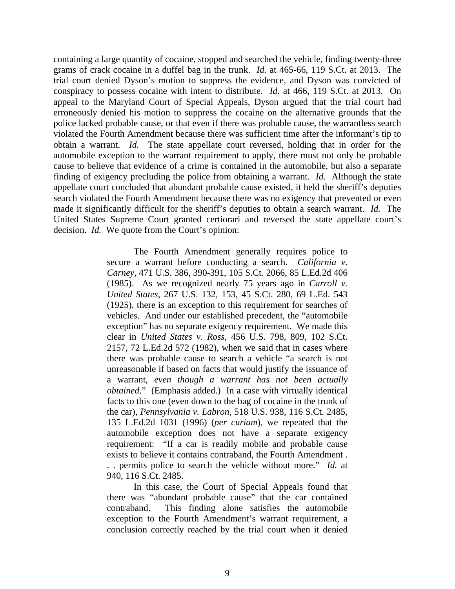containing a large quantity of cocaine, stopped and searched the vehicle, finding twenty-three grams of crack cocaine in a duffel bag in the trunk. *Id.* at 465-66, 119 S.Ct. at 2013. The trial court denied Dyson's motion to suppress the evidence, and Dyson was convicted of conspiracy to possess cocaine with intent to distribute. *Id*. at 466, 119 S.Ct. at 2013. On appeal to the Maryland Court of Special Appeals, Dyson argued that the trial court had erroneously denied his motion to suppress the cocaine on the alternative grounds that the police lacked probable cause, or that even if there was probable cause, the warrantless search violated the Fourth Amendment because there was sufficient time after the informant's tip to obtain a warrant. *Id.* The state appellate court reversed, holding that in order for the automobile exception to the warrant requirement to apply, there must not only be probable cause to believe that evidence of a crime is contained in the automobile, but also a separate finding of exigency precluding the police from obtaining a warrant. *Id.* Although the state appellate court concluded that abundant probable cause existed, it held the sheriff's deputies search violated the Fourth Amendment because there was no exigency that prevented or even made it significantly difficult for the sheriff's deputies to obtain a search warrant. *Id.* The United States Supreme Court granted certiorari and reversed the state appellate court's decision. *Id.* We quote from the Court's opinion:

> The Fourth Amendment generally requires police to secure a warrant before conducting a search. *California v. Carney*, 471 U.S. 386, 390-391, 105 S.Ct. 2066, 85 L.Ed.2d 406 (1985). As we recognized nearly 75 years ago in *Carroll v. United States*, 267 U.S. 132, 153, 45 S.Ct. 280, 69 L.Ed. 543 (1925), there is an exception to this requirement for searches of vehicles. And under our established precedent, the "automobile exception" has no separate exigency requirement. We made this clear in *United States v. Ross*, 456 U.S. 798, 809, 102 S.Ct. 2157, 72 L.Ed.2d 572 (1982), when we said that in cases where there was probable cause to search a vehicle "a search is not unreasonable if based on facts that would justify the issuance of a warrant, *even though a warrant has not been actually obtained*." (Emphasis added.) In a case with virtually identical facts to this one (even down to the bag of cocaine in the trunk of the car), *Pennsylvania v. Labron*, 518 U.S. 938, 116 S.Ct. 2485, 135 L.Ed.2d 1031 (1996) (*per curiam*), we repeated that the automobile exception does not have a separate exigency requirement: "If a car is readily mobile and probable cause exists to believe it contains contraband, the Fourth Amendment . . . permits police to search the vehicle without more." *Id.* at 940, 116 S.Ct. 2485.

> In this case, the Court of Special Appeals found that there was "abundant probable cause" that the car contained contraband. This finding alone satisfies the automobile exception to the Fourth Amendment's warrant requirement, a conclusion correctly reached by the trial court when it denied